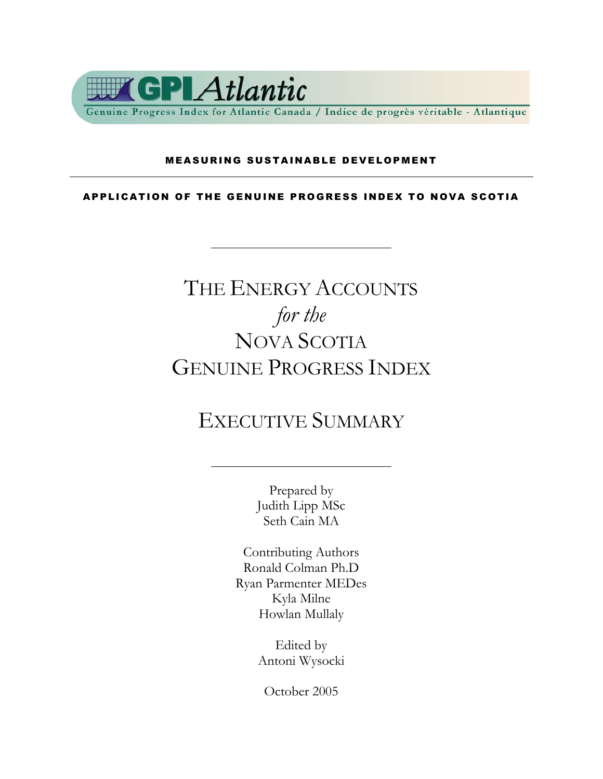

#### MEASURING SUSTAINABLE DEVELOPMENT

APPLICATION OF THE GENUINE PROGRESS INDEX TO NOVA SCOTIA

# THE ENERGY ACCOUNTS *for the* NOVA SCOTIA GENUINE PROGRESS INDEX

## EXECUTIVE SUMMARY

Prepared by Judith Lipp MSc Seth Cain MA

Contributing Authors Ronald Colman Ph.D Ryan Parmenter MEDes Kyla Milne Howlan Mullaly

> Edited by Antoni Wysocki

October 2005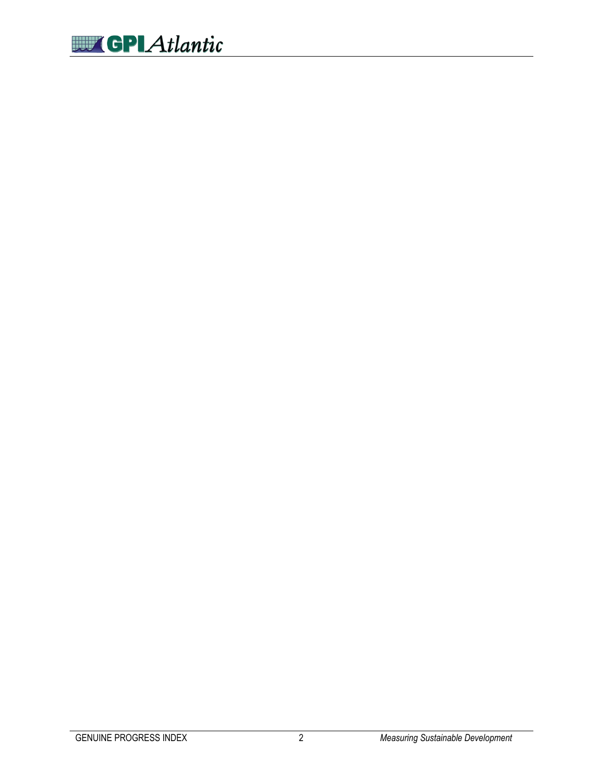**WGPI Atlantic**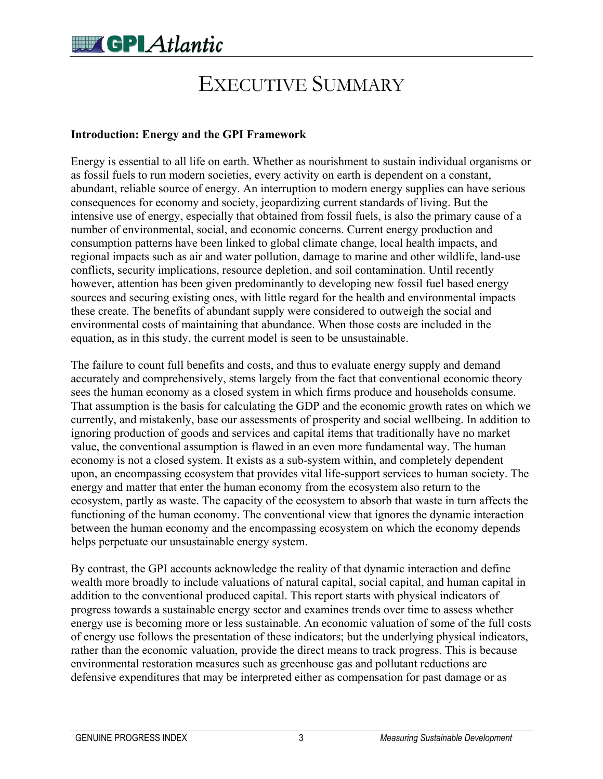# EXECUTIVE SUMMARY

#### **Introduction: Energy and the GPI Framework**

Energy is essential to all life on earth. Whether as nourishment to sustain individual organisms or as fossil fuels to run modern societies, every activity on earth is dependent on a constant, abundant, reliable source of energy. An interruption to modern energy supplies can have serious consequences for economy and society, jeopardizing current standards of living. But the intensive use of energy, especially that obtained from fossil fuels, is also the primary cause of a number of environmental, social, and economic concerns. Current energy production and consumption patterns have been linked to global climate change, local health impacts, and regional impacts such as air and water pollution, damage to marine and other wildlife, land-use conflicts, security implications, resource depletion, and soil contamination. Until recently however, attention has been given predominantly to developing new fossil fuel based energy sources and securing existing ones, with little regard for the health and environmental impacts these create. The benefits of abundant supply were considered to outweigh the social and environmental costs of maintaining that abundance. When those costs are included in the equation, as in this study, the current model is seen to be unsustainable.

The failure to count full benefits and costs, and thus to evaluate energy supply and demand accurately and comprehensively, stems largely from the fact that conventional economic theory sees the human economy as a closed system in which firms produce and households consume. That assumption is the basis for calculating the GDP and the economic growth rates on which we currently, and mistakenly, base our assessments of prosperity and social wellbeing. In addition to ignoring production of goods and services and capital items that traditionally have no market value, the conventional assumption is flawed in an even more fundamental way. The human economy is not a closed system. It exists as a sub-system within, and completely dependent upon, an encompassing ecosystem that provides vital life-support services to human society. The energy and matter that enter the human economy from the ecosystem also return to the ecosystem, partly as waste. The capacity of the ecosystem to absorb that waste in turn affects the functioning of the human economy. The conventional view that ignores the dynamic interaction between the human economy and the encompassing ecosystem on which the economy depends helps perpetuate our unsustainable energy system.

By contrast, the GPI accounts acknowledge the reality of that dynamic interaction and define wealth more broadly to include valuations of natural capital, social capital, and human capital in addition to the conventional produced capital. This report starts with physical indicators of progress towards a sustainable energy sector and examines trends over time to assess whether energy use is becoming more or less sustainable. An economic valuation of some of the full costs of energy use follows the presentation of these indicators; but the underlying physical indicators, rather than the economic valuation, provide the direct means to track progress. This is because environmental restoration measures such as greenhouse gas and pollutant reductions are defensive expenditures that may be interpreted either as compensation for past damage or as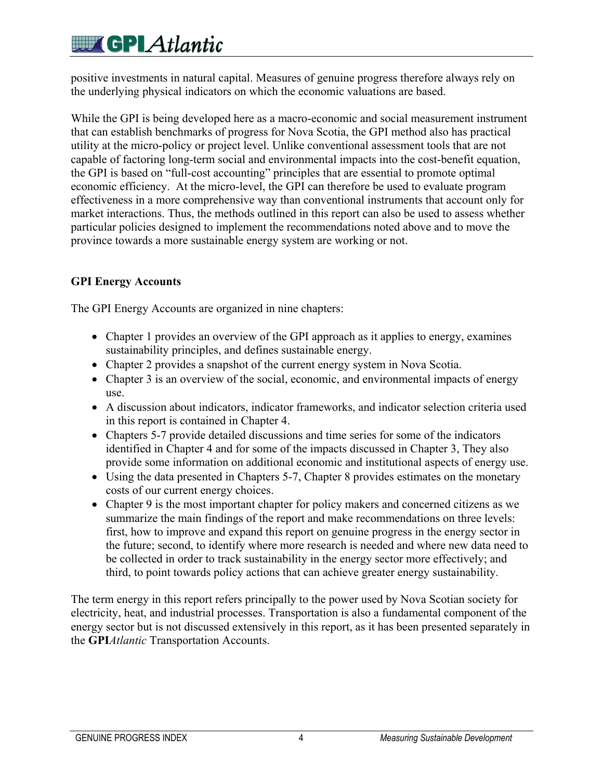positive investments in natural capital. Measures of genuine progress therefore always rely on the underlying physical indicators on which the economic valuations are based.

While the GPI is being developed here as a macro-economic and social measurement instrument that can establish benchmarks of progress for Nova Scotia, the GPI method also has practical utility at the micro-policy or project level. Unlike conventional assessment tools that are not capable of factoring long-term social and environmental impacts into the cost-benefit equation, the GPI is based on "full-cost accounting" principles that are essential to promote optimal economic efficiency. At the micro-level, the GPI can therefore be used to evaluate program effectiveness in a more comprehensive way than conventional instruments that account only for market interactions. Thus, the methods outlined in this report can also be used to assess whether particular policies designed to implement the recommendations noted above and to move the province towards a more sustainable energy system are working or not.

### **GPI Energy Accounts**

The GPI Energy Accounts are organized in nine chapters:

- Chapter 1 provides an overview of the GPI approach as it applies to energy, examines sustainability principles, and defines sustainable energy.
- Chapter 2 provides a snapshot of the current energy system in Nova Scotia.
- Chapter 3 is an overview of the social, economic, and environmental impacts of energy use.
- A discussion about indicators, indicator frameworks, and indicator selection criteria used in this report is contained in Chapter 4.
- Chapters 5-7 provide detailed discussions and time series for some of the indicators identified in Chapter 4 and for some of the impacts discussed in Chapter 3, They also provide some information on additional economic and institutional aspects of energy use.
- Using the data presented in Chapters 5-7, Chapter 8 provides estimates on the monetary costs of our current energy choices.
- Chapter 9 is the most important chapter for policy makers and concerned citizens as we summarize the main findings of the report and make recommendations on three levels: first, how to improve and expand this report on genuine progress in the energy sector in the future; second, to identify where more research is needed and where new data need to be collected in order to track sustainability in the energy sector more effectively; and third, to point towards policy actions that can achieve greater energy sustainability.

The term energy in this report refers principally to the power used by Nova Scotian society for electricity, heat, and industrial processes. Transportation is also a fundamental component of the energy sector but is not discussed extensively in this report, as it has been presented separately in the **GPI***Atlantic* Transportation Accounts.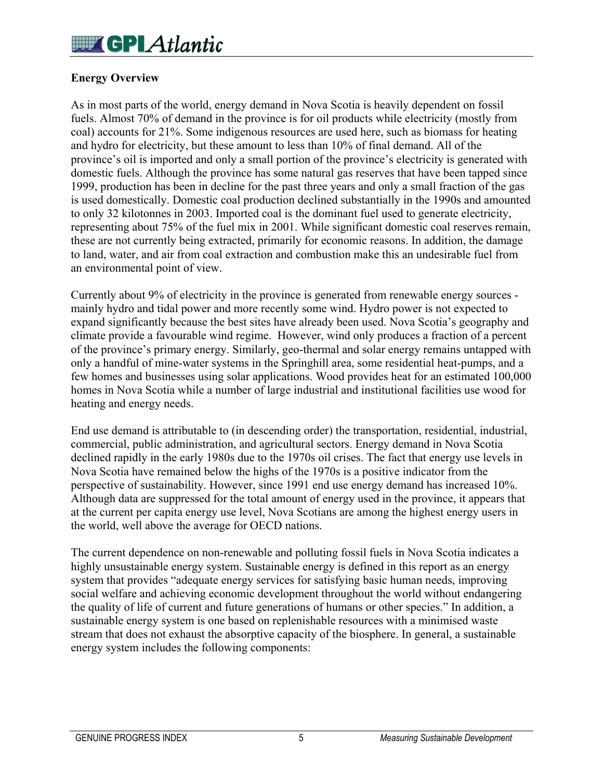### **Energy Overview**

As in most parts of the world, energy demand in Nova Scotia is heavily dependent on fossil fuels. Almost 70% of demand in the province is for oil products while electricity (mostly from coal) accounts for 21%. Some indigenous resources are used here, such as biomass for heating and hydro for electricity, but these amount to less than 10% of final demand. All of the province's oil is imported and only a small portion of the province's electricity is generated with domestic fuels. Although the province has some natural gas reserves that have been tapped since 1999, production has been in decline for the past three years and only a small fraction of the gas is used domestically. Domestic coal production declined substantially in the 1990s and amounted to only 32 kilotonnes in 2003. Imported coal is the dominant fuel used to generate electricity, representing about 75% of the fuel mix in 2001. While significant domestic coal reserves remain, these are not currently being extracted, primarily for economic reasons. In addition, the damage to land, water, and air from coal extraction and combustion make this an undesirable fuel from an environmental point of view.

Currently about 9% of electricity in the province is generated from renewable energy sources mainly hydro and tidal power and more recently some wind. Hydro power is not expected to expand significantly because the best sites have already been used. Nova Scotia's geography and climate provide a favourable wind regime. However, wind only produces a fraction of a percent of the province's primary energy. Similarly, geo-thermal and solar energy remains untapped with only a handful of mine-water systems in the Springhill area, some residential heat-pumps, and a few homes and businesses using solar applications. Wood provides heat for an estimated 100,000 homes in Nova Scotia while a number of large industrial and institutional facilities use wood for heating and energy needs.

End use demand is attributable to (in descending order) the transportation, residential, industrial, commercial, public administration, and agricultural sectors. Energy demand in Nova Scotia declined rapidly in the early 1980s due to the 1970s oil crises. The fact that energy use levels in Nova Scotia have remained below the highs of the 1970s is a positive indicator from the perspective of sustainability. However, since 1991 end use energy demand has increased 10%. Although data are suppressed for the total amount of energy used in the province, it appears that at the current per capita energy use level, Nova Scotians are among the highest energy users in the world, well above the average for OECD nations.

The current dependence on non-renewable and polluting fossil fuels in Nova Scotia indicates a highly unsustainable energy system. Sustainable energy is defined in this report as an energy system that provides "adequate energy services for satisfying basic human needs, improving social welfare and achieving economic development throughout the world without endangering the quality of life of current and future generations of humans or other species." In addition, a sustainable energy system is one based on replenishable resources with a minimised waste stream that does not exhaust the absorptive capacity of the biosphere. In general, a sustainable energy system includes the following components: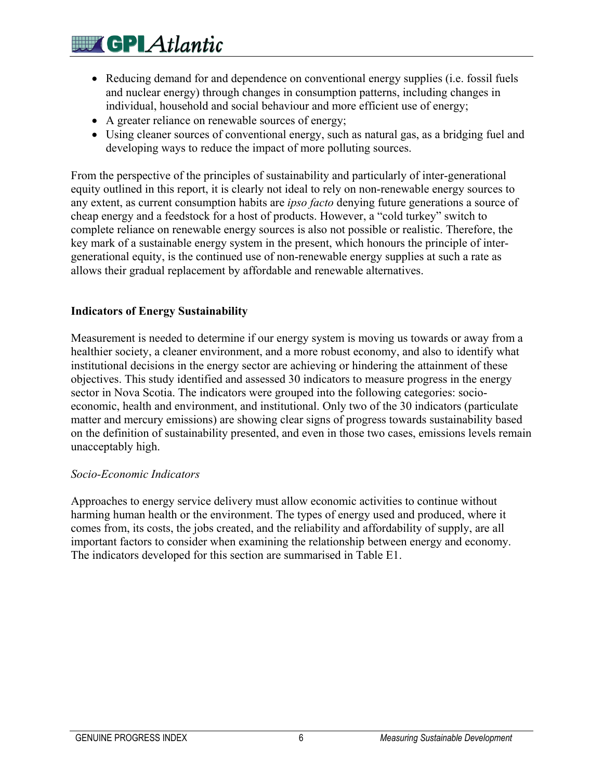# **EV GPI** Atlantic

- Reducing demand for and dependence on conventional energy supplies (i.e. fossil fuels and nuclear energy) through changes in consumption patterns, including changes in individual, household and social behaviour and more efficient use of energy;
- A greater reliance on renewable sources of energy;
- Using cleaner sources of conventional energy, such as natural gas, as a bridging fuel and developing ways to reduce the impact of more polluting sources.

From the perspective of the principles of sustainability and particularly of inter-generational equity outlined in this report, it is clearly not ideal to rely on non-renewable energy sources to any extent, as current consumption habits are *ipso facto* denying future generations a source of cheap energy and a feedstock for a host of products. However, a "cold turkey" switch to complete reliance on renewable energy sources is also not possible or realistic. Therefore, the key mark of a sustainable energy system in the present, which honours the principle of intergenerational equity, is the continued use of non-renewable energy supplies at such a rate as allows their gradual replacement by affordable and renewable alternatives.

### **Indicators of Energy Sustainability**

Measurement is needed to determine if our energy system is moving us towards or away from a healthier society, a cleaner environment, and a more robust economy, and also to identify what institutional decisions in the energy sector are achieving or hindering the attainment of these objectives. This study identified and assessed 30 indicators to measure progress in the energy sector in Nova Scotia. The indicators were grouped into the following categories: socioeconomic, health and environment, and institutional. Only two of the 30 indicators (particulate matter and mercury emissions) are showing clear signs of progress towards sustainability based on the definition of sustainability presented, and even in those two cases, emissions levels remain unacceptably high.

#### *Socio-Economic Indicators*

Approaches to energy service delivery must allow economic activities to continue without harming human health or the environment. The types of energy used and produced, where it comes from, its costs, the jobs created, and the reliability and affordability of supply, are all important factors to consider when examining the relationship between energy and economy. The indicators developed for this section are summarised in Table E1.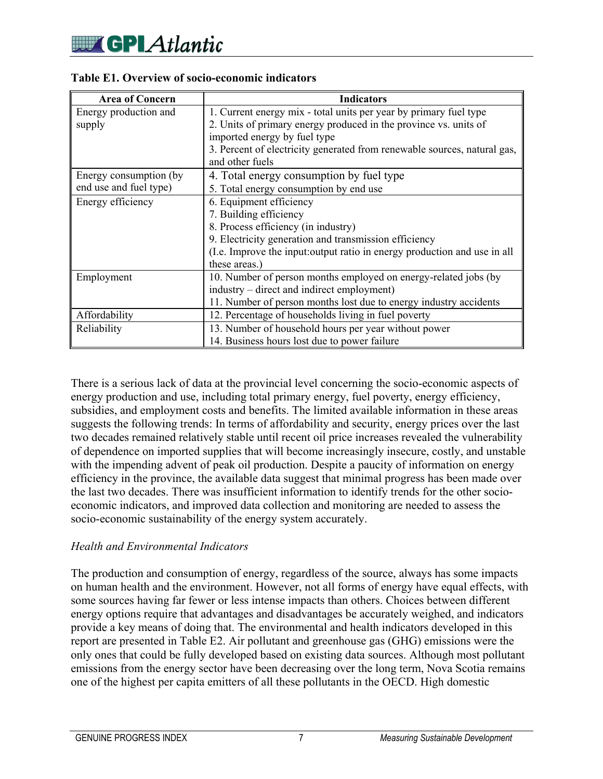| <b>Area of Concern</b>  | <b>Indicators</b>                                                         |  |  |  |
|-------------------------|---------------------------------------------------------------------------|--|--|--|
| Energy production and   | 1. Current energy mix - total units per year by primary fuel type         |  |  |  |
| supply                  | 2. Units of primary energy produced in the province vs. units of          |  |  |  |
|                         | imported energy by fuel type                                              |  |  |  |
|                         | 3. Percent of electricity generated from renewable sources, natural gas,  |  |  |  |
|                         | and other fuels                                                           |  |  |  |
| Energy consumption (by) | 4. Total energy consumption by fuel type                                  |  |  |  |
| end use and fuel type)  | 5. Total energy consumption by end use                                    |  |  |  |
| Energy efficiency       | 6. Equipment efficiency                                                   |  |  |  |
|                         | 7. Building efficiency                                                    |  |  |  |
|                         | 8. Process efficiency (in industry)                                       |  |  |  |
|                         | 9. Electricity generation and transmission efficiency                     |  |  |  |
|                         | (I.e. Improve the input: output ratio in energy production and use in all |  |  |  |
|                         | these areas.)                                                             |  |  |  |
| Employment              | 10. Number of person months employed on energy-related jobs (by           |  |  |  |
|                         | industry – direct and indirect employment)                                |  |  |  |
|                         | 11. Number of person months lost due to energy industry accidents         |  |  |  |
| Affordability           | 12. Percentage of households living in fuel poverty                       |  |  |  |
| Reliability             | 13. Number of household hours per year without power                      |  |  |  |
|                         | 14. Business hours lost due to power failure                              |  |  |  |

### **Table E1. Overview of socio-economic indicators**

There is a serious lack of data at the provincial level concerning the socio-economic aspects of energy production and use, including total primary energy, fuel poverty, energy efficiency, subsidies, and employment costs and benefits. The limited available information in these areas suggests the following trends: In terms of affordability and security, energy prices over the last two decades remained relatively stable until recent oil price increases revealed the vulnerability of dependence on imported supplies that will become increasingly insecure, costly, and unstable with the impending advent of peak oil production. Despite a paucity of information on energy efficiency in the province, the available data suggest that minimal progress has been made over the last two decades. There was insufficient information to identify trends for the other socioeconomic indicators, and improved data collection and monitoring are needed to assess the socio-economic sustainability of the energy system accurately.

#### *Health and Environmental Indicators*

The production and consumption of energy, regardless of the source, always has some impacts on human health and the environment. However, not all forms of energy have equal effects, with some sources having far fewer or less intense impacts than others. Choices between different energy options require that advantages and disadvantages be accurately weighed, and indicators provide a key means of doing that. The environmental and health indicators developed in this report are presented in Table E2. Air pollutant and greenhouse gas (GHG) emissions were the only ones that could be fully developed based on existing data sources. Although most pollutant emissions from the energy sector have been decreasing over the long term, Nova Scotia remains one of the highest per capita emitters of all these pollutants in the OECD. High domestic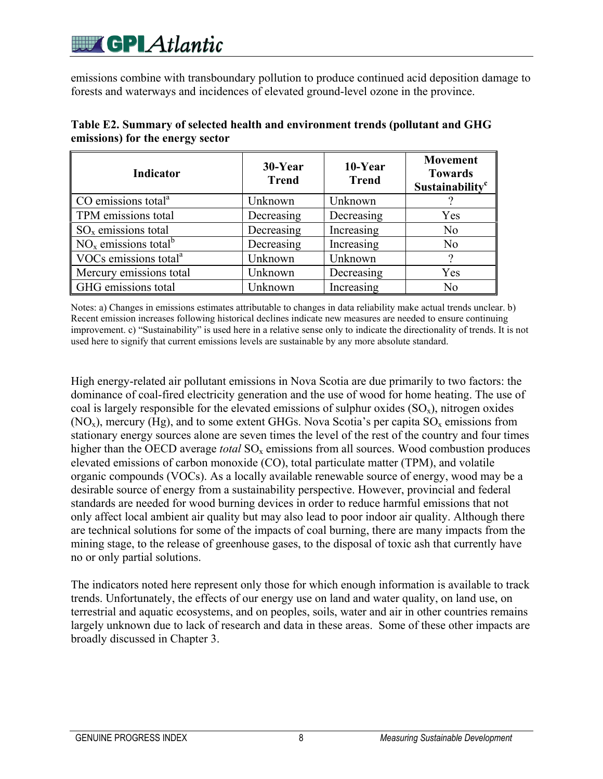emissions combine with transboundary pollution to produce continued acid deposition damage to forests and waterways and incidences of elevated ground-level ozone in the province.

| <b>Indicator</b>                                         | 30-Year<br><b>Trend</b> | 10-Year<br><b>Trend</b> | <b>Movement</b><br><b>Towards</b><br>Sustainability <sup>c</sup> |  |
|----------------------------------------------------------|-------------------------|-------------------------|------------------------------------------------------------------|--|
| $\parallel$ CO emissions total <sup>a</sup>              | Unknown                 | Unknown                 |                                                                  |  |
| TPM emissions total                                      | Decreasing              | Decreasing              | Yes                                                              |  |
| $SOx$ emissions total                                    | Decreasing              | Increasing              | N <sub>0</sub>                                                   |  |
| $\parallel$ NO <sub>x</sub> emissions total <sup>b</sup> | Decreasing              | Increasing              | No                                                               |  |
| $\parallel$ VOCs emissions total <sup>a</sup>            | Unknown                 | Unknown                 |                                                                  |  |
| Mercury emissions total                                  | Unknown                 | Decreasing              | Yes                                                              |  |
| GHG emissions total                                      | Jnknown                 | Increasing              | N <sub>0</sub>                                                   |  |

| Table E2. Summary of selected health and environment trends (pollutant and GHG |  |
|--------------------------------------------------------------------------------|--|
| emissions) for the energy sector                                               |  |

Notes: a) Changes in emissions estimates attributable to changes in data reliability make actual trends unclear. b) Recent emission increases following historical declines indicate new measures are needed to ensure continuing improvement. c) "Sustainability" is used here in a relative sense only to indicate the directionality of trends. It is not used here to signify that current emissions levels are sustainable by any more absolute standard.

High energy-related air pollutant emissions in Nova Scotia are due primarily to two factors: the dominance of coal-fired electricity generation and the use of wood for home heating. The use of coal is largely responsible for the elevated emissions of sulphur oxides  $(SO_x)$ , nitrogen oxides  $(NO<sub>x</sub>)$ , mercury (Hg), and to some extent GHGs. Nova Scotia's per capita  $SO<sub>x</sub>$  emissions from stationary energy sources alone are seven times the level of the rest of the country and four times higher than the OECD average *total* SO<sub>x</sub> emissions from all sources. Wood combustion produces elevated emissions of carbon monoxide (CO), total particulate matter (TPM), and volatile organic compounds (VOCs). As a locally available renewable source of energy, wood may be a desirable source of energy from a sustainability perspective. However, provincial and federal standards are needed for wood burning devices in order to reduce harmful emissions that not only affect local ambient air quality but may also lead to poor indoor air quality. Although there are technical solutions for some of the impacts of coal burning, there are many impacts from the mining stage, to the release of greenhouse gases, to the disposal of toxic ash that currently have no or only partial solutions.

The indicators noted here represent only those for which enough information is available to track trends. Unfortunately, the effects of our energy use on land and water quality, on land use, on terrestrial and aquatic ecosystems, and on peoples, soils, water and air in other countries remains largely unknown due to lack of research and data in these areas. Some of these other impacts are broadly discussed in Chapter 3.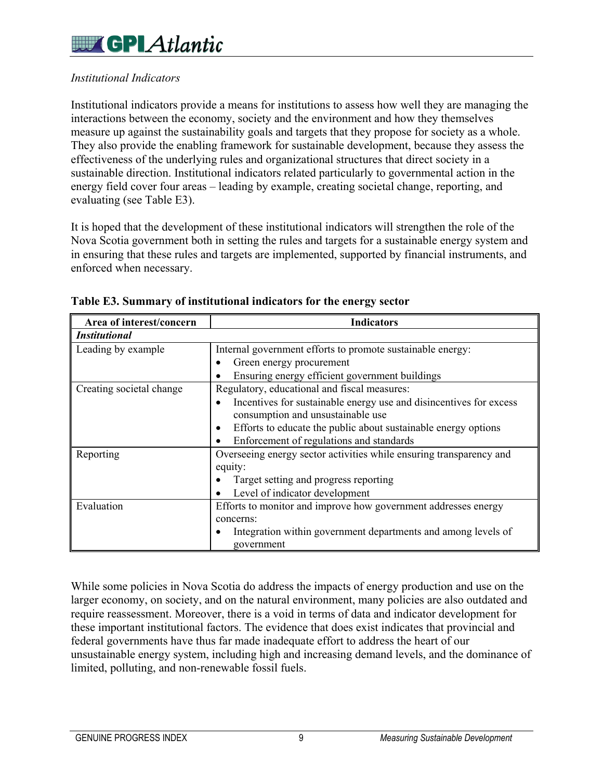### *Institutional Indicators*

Institutional indicators provide a means for institutions to assess how well they are managing the interactions between the economy, society and the environment and how they themselves measure up against the sustainability goals and targets that they propose for society as a whole. They also provide the enabling framework for sustainable development, because they assess the effectiveness of the underlying rules and organizational structures that direct society in a sustainable direction. Institutional indicators related particularly to governmental action in the energy field cover four areas – leading by example, creating societal change, reporting, and evaluating (see Table E3).

It is hoped that the development of these institutional indicators will strengthen the role of the Nova Scotia government both in setting the rules and targets for a sustainable energy system and in ensuring that these rules and targets are implemented, supported by financial instruments, and enforced when necessary.

| Area of interest/concern | <b>Indicators</b>                                                   |  |  |  |
|--------------------------|---------------------------------------------------------------------|--|--|--|
| <i>Institutional</i>     |                                                                     |  |  |  |
| Leading by example       | Internal government efforts to promote sustainable energy:          |  |  |  |
|                          | Green energy procurement                                            |  |  |  |
|                          | Ensuring energy efficient government buildings                      |  |  |  |
| Creating societal change | Regulatory, educational and fiscal measures:                        |  |  |  |
|                          | Incentives for sustainable energy use and disincentives for excess  |  |  |  |
|                          | consumption and unsustainable use                                   |  |  |  |
|                          | Efforts to educate the public about sustainable energy options      |  |  |  |
|                          | Enforcement of regulations and standards                            |  |  |  |
| Reporting                | Overseeing energy sector activities while ensuring transparency and |  |  |  |
|                          | equity:                                                             |  |  |  |
|                          | Target setting and progress reporting                               |  |  |  |
|                          | Level of indicator development                                      |  |  |  |
| Evaluation               | Efforts to monitor and improve how government addresses energy      |  |  |  |
|                          | concerns:                                                           |  |  |  |
|                          | Integration within government departments and among levels of       |  |  |  |
|                          | government                                                          |  |  |  |

|  |  |  | Table E3. Summary of institutional indicators for the energy sector |
|--|--|--|---------------------------------------------------------------------|
|  |  |  |                                                                     |
|  |  |  |                                                                     |

While some policies in Nova Scotia do address the impacts of energy production and use on the larger economy, on society, and on the natural environment, many policies are also outdated and require reassessment. Moreover, there is a void in terms of data and indicator development for these important institutional factors. The evidence that does exist indicates that provincial and federal governments have thus far made inadequate effort to address the heart of our unsustainable energy system, including high and increasing demand levels, and the dominance of limited, polluting, and non-renewable fossil fuels.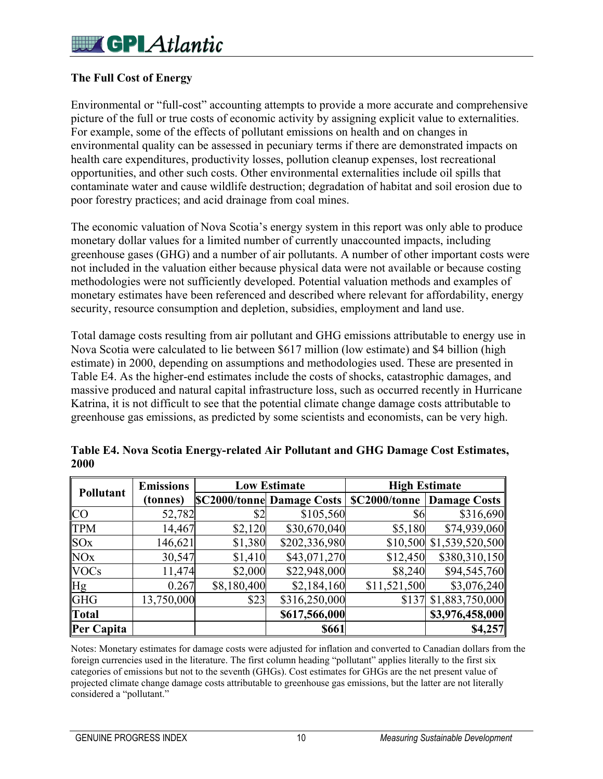### **The Full Cost of Energy**

Environmental or "full-cost" accounting attempts to provide a more accurate and comprehensive picture of the full or true costs of economic activity by assigning explicit value to externalities. For example, some of the effects of pollutant emissions on health and on changes in environmental quality can be assessed in pecuniary terms if there are demonstrated impacts on health care expenditures, productivity losses, pollution cleanup expenses, lost recreational opportunities, and other such costs. Other environmental externalities include oil spills that contaminate water and cause wildlife destruction; degradation of habitat and soil erosion due to poor forestry practices; and acid drainage from coal mines.

The economic valuation of Nova Scotia's energy system in this report was only able to produce monetary dollar values for a limited number of currently unaccounted impacts, including greenhouse gases (GHG) and a number of air pollutants. A number of other important costs were not included in the valuation either because physical data were not available or because costing methodologies were not sufficiently developed. Potential valuation methods and examples of monetary estimates have been referenced and described where relevant for affordability, energy security, resource consumption and depletion, subsidies, employment and land use.

Total damage costs resulting from air pollutant and GHG emissions attributable to energy use in Nova Scotia were calculated to lie between \$617 million (low estimate) and \$4 billion (high estimate) in 2000, depending on assumptions and methodologies used. These are presented in Table E4. As the higher-end estimates include the costs of shocks, catastrophic damages, and massive produced and natural capital infrastructure loss, such as occurred recently in Hurricane Katrina, it is not difficult to see that the potential climate change damage costs attributable to greenhouse gas emissions, as predicted by some scientists and economists, can be very high.

| <b>Pollutant</b>      | <b>Emissions</b> | <b>Low Estimate</b> |                                  | <b>High Estimate</b> |                           |
|-----------------------|------------------|---------------------|----------------------------------|----------------------|---------------------------|
|                       | (tonnes)         |                     | <b>SC2000/tonne Damage Costs</b> | \$C2000/tonne        | Damage Costs              |
| <b>CO</b>             | 52,782           | \$2                 | \$105,560                        | \$6                  | \$316,690                 |
| <b>TPM</b>            | 14,467           | \$2,120             | \$30,670,040                     | \$5,180              | \$74,939,060              |
| <b>SO<sub>x</sub></b> | 146,621          | \$1,380             | \$202,336,980                    |                      | $$10,500$ \$1,539,520,500 |
| <b>NO<sub>x</sub></b> | 30,547           | \$1,410             | \$43,071,270                     | \$12,450             | \$380,310,150             |
| <b>VOCs</b>           | 11,474           | \$2,000             | \$22,948,000                     | \$8,240              | \$94,545,760              |
| Hg                    | 0.267            | \$8,180,400         | \$2,184,160                      | \$11,521,500         | \$3,076,240               |
| <b>GHG</b>            | 13,750,000       | \$23                | \$316,250,000                    |                      | \$137 \$1,883,750,000     |
| Total                 |                  |                     | \$617,566,000                    |                      | \$3,976,458,000           |
| Per Capita            |                  |                     | \$661                            |                      | \$4,257                   |

**Table E4. Nova Scotia Energy-related Air Pollutant and GHG Damage Cost Estimates, 2000**

Notes: Monetary estimates for damage costs were adjusted for inflation and converted to Canadian dollars from the foreign currencies used in the literature. The first column heading "pollutant" applies literally to the first six categories of emissions but not to the seventh (GHGs). Cost estimates for GHGs are the net present value of projected climate change damage costs attributable to greenhouse gas emissions, but the latter are not literally considered a "pollutant."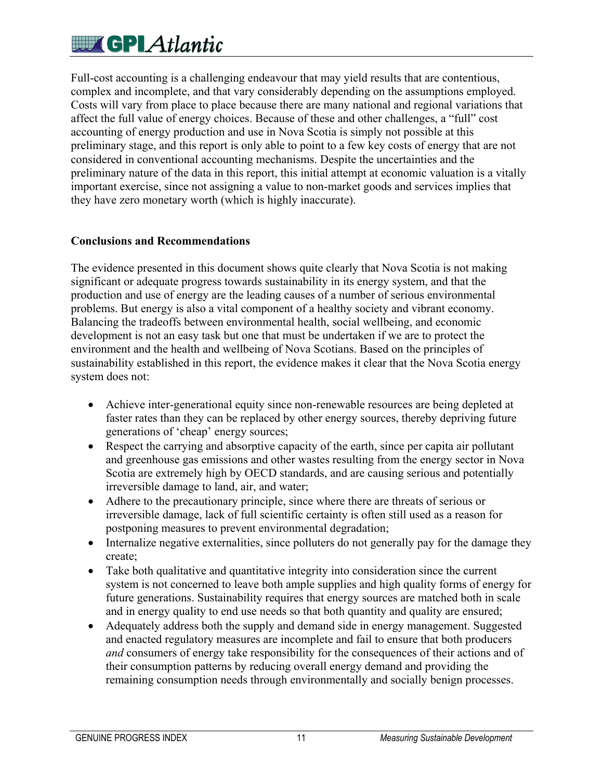Full-cost accounting is a challenging endeavour that may yield results that are contentious, complex and incomplete, and that vary considerably depending on the assumptions employed. Costs will vary from place to place because there are many national and regional variations that affect the full value of energy choices. Because of these and other challenges, a "full" cost accounting of energy production and use in Nova Scotia is simply not possible at this preliminary stage, and this report is only able to point to a few key costs of energy that are not considered in conventional accounting mechanisms. Despite the uncertainties and the preliminary nature of the data in this report, this initial attempt at economic valuation is a vitally important exercise, since not assigning a value to non-market goods and services implies that they have zero monetary worth (which is highly inaccurate).

### **Conclusions and Recommendations**

The evidence presented in this document shows quite clearly that Nova Scotia is not making significant or adequate progress towards sustainability in its energy system, and that the production and use of energy are the leading causes of a number of serious environmental problems. But energy is also a vital component of a healthy society and vibrant economy. Balancing the tradeoffs between environmental health, social wellbeing, and economic development is not an easy task but one that must be undertaken if we are to protect the environment and the health and wellbeing of Nova Scotians. Based on the principles of sustainability established in this report, the evidence makes it clear that the Nova Scotia energy system does not:

- Achieve inter-generational equity since non-renewable resources are being depleted at faster rates than they can be replaced by other energy sources, thereby depriving future generations of 'cheap' energy sources;
- Respect the carrying and absorptive capacity of the earth, since per capita air pollutant and greenhouse gas emissions and other wastes resulting from the energy sector in Nova Scotia are extremely high by OECD standards, and are causing serious and potentially irreversible damage to land, air, and water;
- Adhere to the precautionary principle, since where there are threats of serious or irreversible damage, lack of full scientific certainty is often still used as a reason for postponing measures to prevent environmental degradation;
- Internalize negative externalities, since polluters do not generally pay for the damage they create;
- Take both qualitative and quantitative integrity into consideration since the current system is not concerned to leave both ample supplies and high quality forms of energy for future generations. Sustainability requires that energy sources are matched both in scale and in energy quality to end use needs so that both quantity and quality are ensured;
- Adequately address both the supply and demand side in energy management. Suggested and enacted regulatory measures are incomplete and fail to ensure that both producers *and* consumers of energy take responsibility for the consequences of their actions and of their consumption patterns by reducing overall energy demand and providing the remaining consumption needs through environmentally and socially benign processes.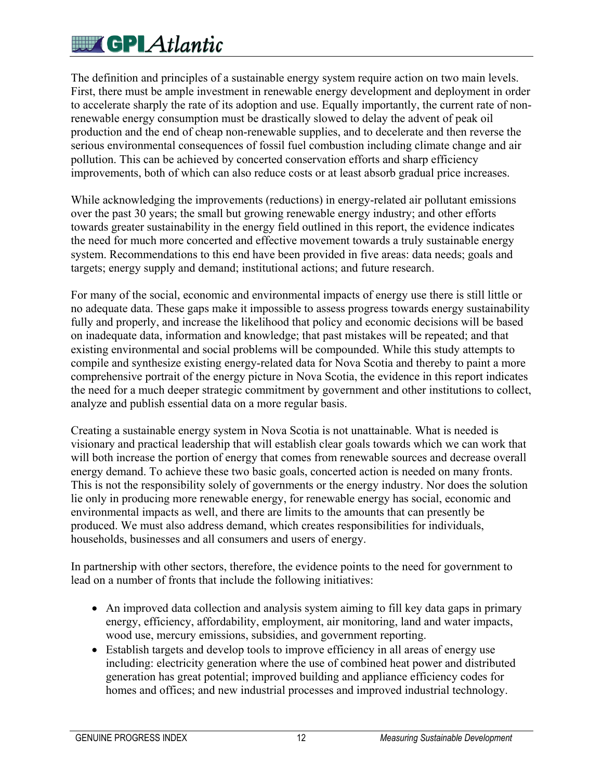The definition and principles of a sustainable energy system require action on two main levels. First, there must be ample investment in renewable energy development and deployment in order to accelerate sharply the rate of its adoption and use. Equally importantly, the current rate of nonrenewable energy consumption must be drastically slowed to delay the advent of peak oil production and the end of cheap non-renewable supplies, and to decelerate and then reverse the serious environmental consequences of fossil fuel combustion including climate change and air pollution. This can be achieved by concerted conservation efforts and sharp efficiency improvements, both of which can also reduce costs or at least absorb gradual price increases.

While acknowledging the improvements (reductions) in energy-related air pollutant emissions over the past 30 years; the small but growing renewable energy industry; and other efforts towards greater sustainability in the energy field outlined in this report, the evidence indicates the need for much more concerted and effective movement towards a truly sustainable energy system. Recommendations to this end have been provided in five areas: data needs; goals and targets; energy supply and demand; institutional actions; and future research.

For many of the social, economic and environmental impacts of energy use there is still little or no adequate data. These gaps make it impossible to assess progress towards energy sustainability fully and properly, and increase the likelihood that policy and economic decisions will be based on inadequate data, information and knowledge; that past mistakes will be repeated; and that existing environmental and social problems will be compounded. While this study attempts to compile and synthesize existing energy-related data for Nova Scotia and thereby to paint a more comprehensive portrait of the energy picture in Nova Scotia, the evidence in this report indicates the need for a much deeper strategic commitment by government and other institutions to collect, analyze and publish essential data on a more regular basis.

Creating a sustainable energy system in Nova Scotia is not unattainable. What is needed is visionary and practical leadership that will establish clear goals towards which we can work that will both increase the portion of energy that comes from renewable sources and decrease overall energy demand. To achieve these two basic goals, concerted action is needed on many fronts. This is not the responsibility solely of governments or the energy industry. Nor does the solution lie only in producing more renewable energy, for renewable energy has social, economic and environmental impacts as well, and there are limits to the amounts that can presently be produced. We must also address demand, which creates responsibilities for individuals, households, businesses and all consumers and users of energy.

In partnership with other sectors, therefore, the evidence points to the need for government to lead on a number of fronts that include the following initiatives:

- An improved data collection and analysis system aiming to fill key data gaps in primary energy, efficiency, affordability, employment, air monitoring, land and water impacts, wood use, mercury emissions, subsidies, and government reporting.
- Establish targets and develop tools to improve efficiency in all areas of energy use including: electricity generation where the use of combined heat power and distributed generation has great potential; improved building and appliance efficiency codes for homes and offices; and new industrial processes and improved industrial technology.